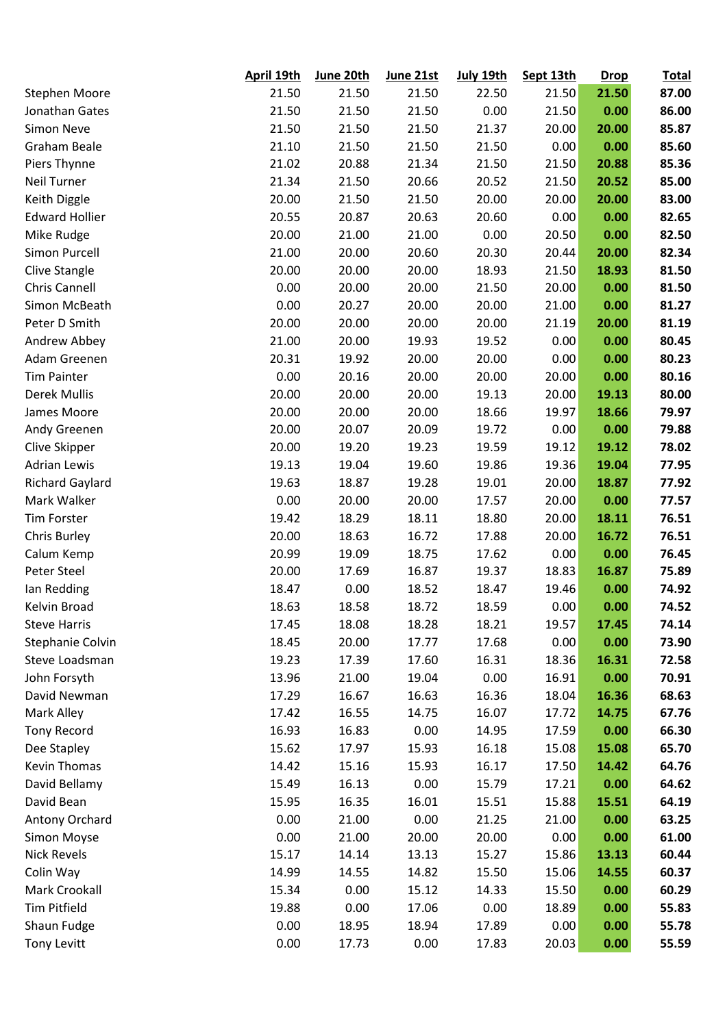|                        | April 19th | June 20th | June 21st | July 19th | Sept 13th | <b>Drop</b> | <b>Total</b> |
|------------------------|------------|-----------|-----------|-----------|-----------|-------------|--------------|
| <b>Stephen Moore</b>   | 21.50      | 21.50     | 21.50     | 22.50     | 21.50     | 21.50       | 87.00        |
| Jonathan Gates         | 21.50      | 21.50     | 21.50     | 0.00      | 21.50     | 0.00        | 86.00        |
| <b>Simon Neve</b>      | 21.50      | 21.50     | 21.50     | 21.37     | 20.00     | 20.00       | 85.87        |
| <b>Graham Beale</b>    | 21.10      | 21.50     | 21.50     | 21.50     | 0.00      | 0.00        | 85.60        |
| Piers Thynne           | 21.02      | 20.88     | 21.34     | 21.50     | 21.50     | 20.88       | 85.36        |
| <b>Neil Turner</b>     | 21.34      | 21.50     | 20.66     | 20.52     | 21.50     | 20.52       | 85.00        |
| Keith Diggle           | 20.00      | 21.50     | 21.50     | 20.00     | 20.00     | 20.00       | 83.00        |
| <b>Edward Hollier</b>  | 20.55      | 20.87     | 20.63     | 20.60     | 0.00      | 0.00        | 82.65        |
| Mike Rudge             | 20.00      | 21.00     | 21.00     | 0.00      | 20.50     | 0.00        | 82.50        |
| Simon Purcell          | 21.00      | 20.00     | 20.60     | 20.30     | 20.44     | 20.00       | 82.34        |
| Clive Stangle          | 20.00      | 20.00     | 20.00     | 18.93     | 21.50     | 18.93       | 81.50        |
| Chris Cannell          | 0.00       | 20.00     | 20.00     | 21.50     | 20.00     | 0.00        | 81.50        |
| Simon McBeath          | 0.00       | 20.27     | 20.00     | 20.00     | 21.00     | 0.00        | 81.27        |
| Peter D Smith          | 20.00      | 20.00     | 20.00     | 20.00     | 21.19     | 20.00       | 81.19        |
| Andrew Abbey           | 21.00      | 20.00     | 19.93     | 19.52     | 0.00      | 0.00        | 80.45        |
| Adam Greenen           | 20.31      | 19.92     | 20.00     | 20.00     | 0.00      | 0.00        | 80.23        |
| <b>Tim Painter</b>     | 0.00       | 20.16     | 20.00     | 20.00     | 20.00     | 0.00        | 80.16        |
| <b>Derek Mullis</b>    | 20.00      | 20.00     | 20.00     | 19.13     | 20.00     | 19.13       | 80.00        |
| James Moore            | 20.00      | 20.00     | 20.00     | 18.66     | 19.97     | 18.66       | 79.97        |
| Andy Greenen           | 20.00      | 20.07     | 20.09     | 19.72     | 0.00      | 0.00        | 79.88        |
| Clive Skipper          | 20.00      | 19.20     | 19.23     | 19.59     | 19.12     | 19.12       | 78.02        |
| <b>Adrian Lewis</b>    | 19.13      | 19.04     | 19.60     | 19.86     | 19.36     | 19.04       | 77.95        |
| <b>Richard Gaylard</b> | 19.63      | 18.87     | 19.28     | 19.01     | 20.00     | 18.87       | 77.92        |
| Mark Walker            | 0.00       | 20.00     | 20.00     | 17.57     | 20.00     | 0.00        | 77.57        |
| <b>Tim Forster</b>     | 19.42      | 18.29     | 18.11     | 18.80     | 20.00     | 18.11       | 76.51        |
| Chris Burley           | 20.00      | 18.63     | 16.72     | 17.88     | 20.00     | 16.72       | 76.51        |
| Calum Kemp             | 20.99      | 19.09     | 18.75     | 17.62     | 0.00      | 0.00        | 76.45        |
| Peter Steel            | 20.00      | 17.69     | 16.87     | 19.37     | 18.83     | 16.87       | 75.89        |
| lan Redding            | 18.47      | 0.00      | 18.52     | 18.47     | 19.46     | 0.00        | 74.92        |
| Kelvin Broad           | 18.63      | 18.58     | 18.72     | 18.59     | 0.00      | 0.00        | 74.52        |
| <b>Steve Harris</b>    | 17.45      | 18.08     | 18.28     | 18.21     | 19.57     | 17.45       | 74.14        |
| Stephanie Colvin       | 18.45      | 20.00     | 17.77     | 17.68     | 0.00      | 0.00        | 73.90        |
| Steve Loadsman         | 19.23      | 17.39     | 17.60     | 16.31     | 18.36     | 16.31       | 72.58        |
| John Forsyth           | 13.96      | 21.00     | 19.04     | 0.00      | 16.91     | 0.00        | 70.91        |
| David Newman           | 17.29      | 16.67     | 16.63     | 16.36     | 18.04     | 16.36       | 68.63        |
| Mark Alley             | 17.42      | 16.55     | 14.75     | 16.07     | 17.72     | 14.75       | 67.76        |
| <b>Tony Record</b>     | 16.93      | 16.83     | 0.00      | 14.95     | 17.59     | 0.00        | 66.30        |
| Dee Stapley            | 15.62      | 17.97     | 15.93     | 16.18     | 15.08     | 15.08       | 65.70        |
| <b>Kevin Thomas</b>    | 14.42      | 15.16     | 15.93     | 16.17     | 17.50     | 14.42       | 64.76        |
| David Bellamy          | 15.49      | 16.13     | 0.00      | 15.79     | 17.21     | 0.00        | 64.62        |
| David Bean             | 15.95      | 16.35     | 16.01     | 15.51     | 15.88     | 15.51       | 64.19        |
| Antony Orchard         | 0.00       | 21.00     | 0.00      | 21.25     | 21.00     | 0.00        | 63.25        |
| Simon Moyse            | 0.00       | 21.00     | 20.00     | 20.00     | 0.00      | 0.00        | 61.00        |
| <b>Nick Revels</b>     | 15.17      | 14.14     | 13.13     | 15.27     | 15.86     | 13.13       | 60.44        |
| Colin Way              | 14.99      | 14.55     | 14.82     | 15.50     | 15.06     | 14.55       | 60.37        |
| Mark Crookall          | 15.34      | 0.00      | 15.12     | 14.33     | 15.50     | 0.00        | 60.29        |
| Tim Pitfield           | 19.88      | 0.00      | 17.06     | 0.00      | 18.89     | 0.00        | 55.83        |
| Shaun Fudge            | 0.00       | 18.95     | 18.94     | 17.89     | 0.00      | 0.00        | 55.78        |
| <b>Tony Levitt</b>     | 0.00       | 17.73     | 0.00      | 17.83     | 20.03     | 0.00        | 55.59        |